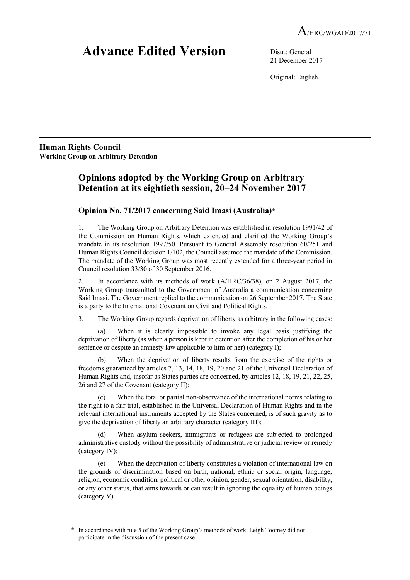# **Advance Edited Version** Distr.: General

21 December 2017

Original: English

**Human Rights Council Working Group on Arbitrary Detention**

## **Opinions adopted by the Working Group on Arbitrary Detention at its eightieth session, 20–24 November 2017**

### **Opinion No. 71/2017 concerning Said Imasi (Australia)**\*

1. The Working Group on Arbitrary Detention was established in resolution 1991/42 of the Commission on Human Rights, which extended and clarified the Working Group's mandate in its resolution 1997/50. Pursuant to General Assembly resolution 60/251 and Human Rights Council decision 1/102, the Council assumed the mandate of the Commission. The mandate of the Working Group was most recently extended for a three-year period in Council resolution 33/30 of 30 September 2016.

2. In accordance with its methods of work (A/HRC/36/38), on 2 August 2017, the Working Group transmitted to the Government of Australia a communication concerning Said Imasi. The Government replied to the communication on 26 September 2017. The State is a party to the International Covenant on Civil and Political Rights.

3. The Working Group regards deprivation of liberty as arbitrary in the following cases:

(a) When it is clearly impossible to invoke any legal basis justifying the deprivation of liberty (as when a person is kept in detention after the completion of his or her sentence or despite an amnesty law applicable to him or her) (category I);

(b) When the deprivation of liberty results from the exercise of the rights or freedoms guaranteed by articles 7, 13, 14, 18, 19, 20 and 21 of the Universal Declaration of Human Rights and, insofar as States parties are concerned, by articles 12, 18, 19, 21, 22, 25, 26 and 27 of the Covenant (category II);

(c) When the total or partial non-observance of the international norms relating to the right to a fair trial, established in the Universal Declaration of Human Rights and in the relevant international instruments accepted by the States concerned, is of such gravity as to give the deprivation of liberty an arbitrary character (category III);

(d) When asylum seekers, immigrants or refugees are subjected to prolonged administrative custody without the possibility of administrative or judicial review or remedy (category IV);

(e) When the deprivation of liberty constitutes a violation of international law on the grounds of discrimination based on birth, national, ethnic or social origin, language, religion, economic condition, political or other opinion, gender, sexual orientation, disability, or any other status, that aims towards or can result in ignoring the equality of human beings (category V).

<sup>\*</sup> In accordance with rule 5 of the Working Group's methods of work, Leigh Toomey did not participate in the discussion of the present case.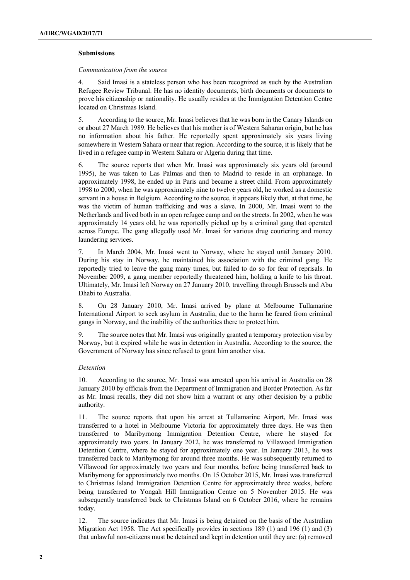#### **Submissions**

#### *Communication from the source*

4. Said Imasi is a stateless person who has been recognized as such by the Australian Refugee Review Tribunal. He has no identity documents, birth documents or documents to prove his citizenship or nationality. He usually resides at the Immigration Detention Centre located on Christmas Island.

5. According to the source, Mr. Imasi believes that he was born in the Canary Islands on or about 27 March 1989. He believes that his mother is of Western Saharan origin, but he has no information about his father. He reportedly spent approximately six years living somewhere in Western Sahara or near that region. According to the source, it is likely that he lived in a refugee camp in Western Sahara or Algeria during that time.

6. The source reports that when Mr. Imasi was approximately six years old (around 1995), he was taken to Las Palmas and then to Madrid to reside in an orphanage. In approximately 1998, he ended up in Paris and became a street child. From approximately 1998 to 2000, when he was approximately nine to twelve years old, he worked as a domestic servant in a house in Belgium. According to the source, it appears likely that, at that time, he was the victim of human trafficking and was a slave. In 2000, Mr. Imasi went to the Netherlands and lived both in an open refugee camp and on the streets. In 2002, when he was approximately 14 years old, he was reportedly picked up by a criminal gang that operated across Europe. The gang allegedly used Mr. Imasi for various drug couriering and money laundering services.

7. In March 2004, Mr. Imasi went to Norway, where he stayed until January 2010. During his stay in Norway, he maintained his association with the criminal gang. He reportedly tried to leave the gang many times, but failed to do so for fear of reprisals. In November 2009, a gang member reportedly threatened him, holding a knife to his throat. Ultimately, Mr. Imasi left Norway on 27 January 2010, travelling through Brussels and Abu Dhabi to Australia.

8. On 28 January 2010, Mr. Imasi arrived by plane at Melbourne Tullamarine International Airport to seek asylum in Australia, due to the harm he feared from criminal gangs in Norway, and the inability of the authorities there to protect him.

9. The source notes that Mr. Imasi was originally granted a temporary protection visa by Norway, but it expired while he was in detention in Australia. According to the source, the Government of Norway has since refused to grant him another visa.

#### *Detention*

10. According to the source, Mr. Imasi was arrested upon his arrival in Australia on 28 January 2010 by officials from the Department of Immigration and Border Protection. As far as Mr. Imasi recalls, they did not show him a warrant or any other decision by a public authority.

11. The source reports that upon his arrest at Tullamarine Airport, Mr. Imasi was transferred to a hotel in Melbourne Victoria for approximately three days. He was then transferred to Maribyrnong Immigration Detention Centre, where he stayed for approximately two years. In January 2012, he was transferred to Villawood Immigration Detention Centre, where he stayed for approximately one year. In January 2013, he was transferred back to Maribyrnong for around three months. He was subsequently returned to Villawood for approximately two years and four months, before being transferred back to Maribyrnong for approximately two months. On 15 October 2015, Mr. Imasi was transferred to Christmas Island Immigration Detention Centre for approximately three weeks, before being transferred to Yongah Hill Immigration Centre on 5 November 2015. He was subsequently transferred back to Christmas Island on 6 October 2016, where he remains today.

12. The source indicates that Mr. Imasi is being detained on the basis of the Australian Migration Act 1958. The Act specifically provides in sections 189 (1) and 196 (1) and (3) that unlawful non-citizens must be detained and kept in detention until they are: (a) removed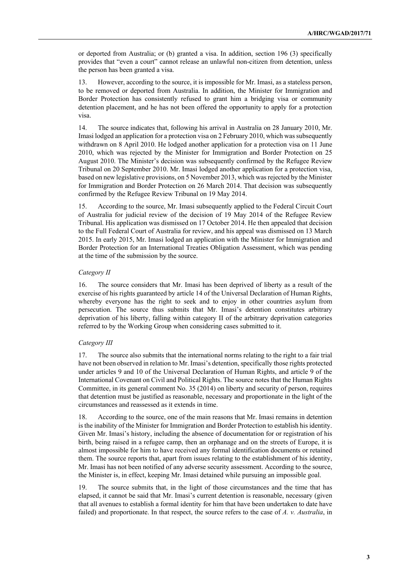or deported from Australia; or (b) granted a visa. In addition, section 196 (3) specifically provides that "even a court" cannot release an unlawful non-citizen from detention, unless the person has been granted a visa.

13. However, according to the source, it is impossible for Mr. Imasi, as a stateless person, to be removed or deported from Australia. In addition, the Minister for Immigration and Border Protection has consistently refused to grant him a bridging visa or community detention placement, and he has not been offered the opportunity to apply for a protection visa.

14. The source indicates that, following his arrival in Australia on 28 January 2010, Mr. Imasi lodged an application for a protection visa on 2 February 2010, which was subsequently withdrawn on 8 April 2010. He lodged another application for a protection visa on 11 June 2010, which was rejected by the Minister for Immigration and Border Protection on 25 August 2010. The Minister's decision was subsequently confirmed by the Refugee Review Tribunal on 20 September 2010. Mr. Imasi lodged another application for a protection visa, based on new legislative provisions, on 5 November 2013, which was rejected by the Minister for Immigration and Border Protection on 26 March 2014. That decision was subsequently confirmed by the Refugee Review Tribunal on 19 May 2014.

15. According to the source, Mr. Imasi subsequently applied to the Federal Circuit Court of Australia for judicial review of the decision of 19 May 2014 of the Refugee Review Tribunal. His application was dismissed on 17 October 2014. He then appealed that decision to the Full Federal Court of Australia for review, and his appeal was dismissed on 13 March 2015. In early 2015, Mr. Imasi lodged an application with the Minister for Immigration and Border Protection for an International Treaties Obligation Assessment, which was pending at the time of the submission by the source.

#### *Category II*

16. The source considers that Mr. Imasi has been deprived of liberty as a result of the exercise of his rights guaranteed by article 14 of the Universal Declaration of Human Rights, whereby everyone has the right to seek and to enjoy in other countries asylum from persecution. The source thus submits that Mr. Imasi's detention constitutes arbitrary deprivation of his liberty, falling within category II of the arbitrary deprivation categories referred to by the Working Group when considering cases submitted to it.

#### *Category III*

17. The source also submits that the international norms relating to the right to a fair trial have not been observed in relation to Mr. Imasi's detention, specifically those rights protected under articles 9 and 10 of the Universal Declaration of Human Rights, and article 9 of the International Covenant on Civil and Political Rights. The source notes that the Human Rights Committee, in its general comment No. 35 (2014) on liberty and security of person, requires that detention must be justified as reasonable, necessary and proportionate in the light of the circumstances and reassessed as it extends in time.

18. According to the source, one of the main reasons that Mr. Imasi remains in detention is the inability of the Minister for Immigration and Border Protection to establish his identity. Given Mr. Imasi's history, including the absence of documentation for or registration of his birth, being raised in a refugee camp, then an orphanage and on the streets of Europe, it is almost impossible for him to have received any formal identification documents or retained them. The source reports that, apart from issues relating to the establishment of his identity, Mr. Imasi has not been notified of any adverse security assessment. According to the source, the Minister is, in effect, keeping Mr. Imasi detained while pursuing an impossible goal.

19. The source submits that, in the light of those circumstances and the time that has elapsed, it cannot be said that Mr. Imasi's current detention is reasonable, necessary (given that all avenues to establish a formal identity for him that have been undertaken to date have failed) and proportionate. In that respect, the source refers to the case of *A. v. Australia*, in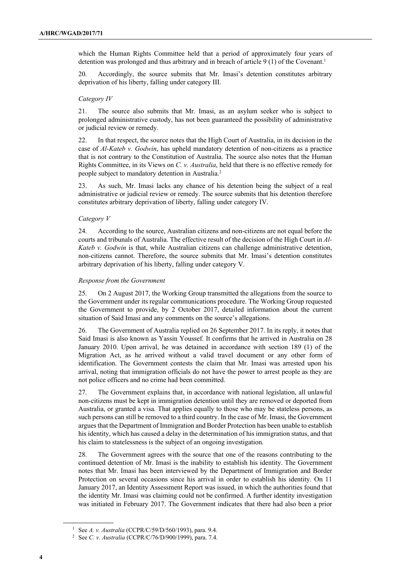which the Human Rights Committee held that a period of approximately four years of detention was prolonged and thus arbitrary and in breach of article 9 (1) of the Covenant.<sup>1</sup>

20. Accordingly, the source submits that Mr. Imasi's detention constitutes arbitrary deprivation of his liberty, falling under category III.

#### *Category IV*

21. The source also submits that Mr. Imasi, as an asylum seeker who is subject to prolonged administrative custody, has not been guaranteed the possibility of administrative or judicial review or remedy.

22. In that respect, the source notes that the High Court of Australia, in its decision in the case of *Al-Kateb v. Godwin*, has upheld mandatory detention of non-citizens as a practice that is not contrary to the Constitution of Australia. The source also notes that the Human Rights Committee, in its Views on *C. v. Australia*, held that there is no effective remedy for people subject to mandatory detention in Australia.2

23. As such, Mr. Imasi lacks any chance of his detention being the subject of a real administrative or judicial review or remedy. The source submits that his detention therefore constitutes arbitrary deprivation of liberty, falling under category IV.

#### *Category V*

24. According to the source, Australian citizens and non-citizens are not equal before the courts and tribunals of Australia. The effective result of the decision of the High Court in *Al-Kateb v. Godwin* is that, while Australian citizens can challenge administrative detention, non-citizens cannot. Therefore, the source submits that Mr. Imasi's detention constitutes arbitrary deprivation of his liberty, falling under category V.

#### *Response from the Government*

25. On 2 August 2017, the Working Group transmitted the allegations from the source to the Government under its regular communications procedure. The Working Group requested the Government to provide, by 2 October 2017, detailed information about the current situation of Said Imasi and any comments on the source's allegations.

26. The Government of Australia replied on 26 September 2017. In its reply, it notes that Said Imasi is also known as Yassin Youssef. It confirms that he arrived in Australia on 28 January 2010. Upon arrival, he was detained in accordance with section 189 (1) of the Migration Act, as he arrived without a valid travel document or any other form of identification. The Government contests the claim that Mr. Imasi was arrested upon his arrival, noting that immigration officials do not have the power to arrest people as they are not police officers and no crime had been committed.

27. The Government explains that, in accordance with national legislation, all unlawful non-citizens must be kept in immigration detention until they are removed or deported from Australia, or granted a visa. That applies equally to those who may be stateless persons, as such persons can still be removed to a third country. In the case of Mr. Imasi, the Government argues that the Department of Immigration and Border Protection has been unable to establish his identity, which has caused a delay in the determination of his immigration status, and that his claim to statelessness is the subject of an ongoing investigation.

28. The Government agrees with the source that one of the reasons contributing to the continued detention of Mr. Imasi is the inability to establish his identity. The Government notes that Mr. Imasi has been interviewed by the Department of Immigration and Border Protection on several occasions since his arrival in order to establish his identity. On 11 January 2017, an Identity Assessment Report was issued, in which the authorities found that the identity Mr. Imasi was claiming could not be confirmed. A further identity investigation was initiated in February 2017. The Government indicates that there had also been a prior

<sup>1</sup> See *A. v. Australia* (CCPR/C/59/D/560/1993), para. 9.4.

<sup>2</sup> See *C. v. Australia* (CCPR/C/76/D/900/1999), para. 7.4.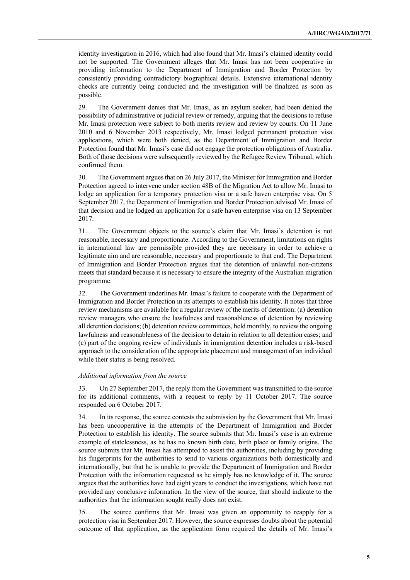identity investigation in 2016, which had also found that Mr. Imasi's claimed identity could not be supported. The Government alleges that Mr. Imasi has not been cooperative in providing information to the Department of Immigration and Border Protection by consistently providing contradictory biographical details. Extensive international identity checks are currently being conducted and the investigation will be finalized as soon as possible.

29. The Government denies that Mr. Imasi, as an asylum seeker, had been denied the possibility of administrative or judicial review or remedy, arguing that the decisions to refuse Mr. Imasi protection were subject to both merits review and review by courts. On 11 June 2010 and 6 November 2013 respectively, Mr. Imasi lodged permanent protection visa applications, which were both denied, as the Department of Immigration and Border Protection found that Mr. Imasi's case did not engage the protection obligations of Australia. Both of those decisions were subsequently reviewed by the Refugee Review Tribunal, which confirmed them.

30. The Government argues that on 26 July 2017, the Minister for Immigration and Border Protection agreed to intervene under section 48B of the Migration Act to allow Mr. Imasi to lodge an application for a temporary protection visa or a safe haven enterprise visa. On 5 September 2017, the Department of Immigration and Border Protection advised Mr. Imasi of that decision and he lodged an application for a safe haven enterprise visa on 13 September 2017.

31. The Government objects to the source's claim that Mr. Imasi's detention is not reasonable, necessary and proportionate. According to the Government, limitations on rights in international law are permissible provided they are necessary in order to achieve a legitimate aim and are reasonable, necessary and proportionate to that end. The Department of Immigration and Border Protection argues that the detention of unlawful non-citizens meets that standard because it is necessary to ensure the integrity of the Australian migration programme.

32. The Government underlines Mr. Imasi's failure to cooperate with the Department of Immigration and Border Protection in its attempts to establish his identity. It notes that three review mechanisms are available for a regular review of the merits of detention: (a) detention review managers who ensure the lawfulness and reasonableness of detention by reviewing all detention decisions; (b) detention review committees, held monthly, to review the ongoing lawfulness and reasonableness of the decision to detain in relation to all detention cases; and (c) part of the ongoing review of individuals in immigration detention includes a risk-based approach to the consideration of the appropriate placement and management of an individual while their status is being resolved.

#### *Additional information from the source*

33. On 27 September 2017, the reply from the Government was transmitted to the source for its additional comments, with a request to reply by 11 October 2017. The source responded on 6 October 2017.

34. In its response, the source contests the submission by the Government that Mr. Imasi has been uncooperative in the attempts of the Department of Immigration and Border Protection to establish his identity. The source submits that Mr. Imasi's case is an extreme example of statelessness, as he has no known birth date, birth place or family origins. The source submits that Mr. Imasi has attempted to assist the authorities, including by providing his fingerprints for the authorities to send to various organizations both domestically and internationally, but that he is unable to provide the Department of Immigration and Border Protection with the information requested as he simply has no knowledge of it. The source argues that the authorities have had eight years to conduct the investigations, which have not provided any conclusive information. In the view of the source, that should indicate to the authorities that the information sought really does not exist.

35. The source confirms that Mr. Imasi was given an opportunity to reapply for a protection visa in September 2017. However, the source expresses doubts about the potential outcome of that application, as the application form required the details of Mr. Imasi's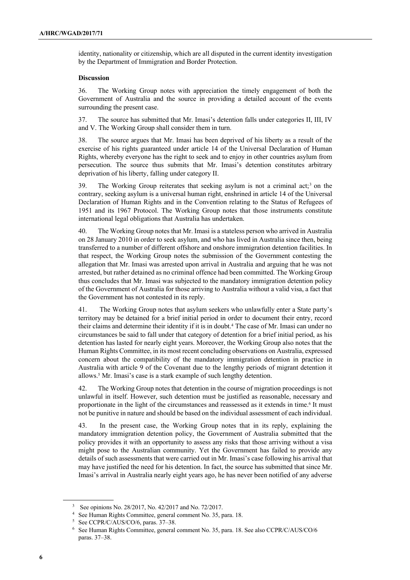identity, nationality or citizenship, which are all disputed in the current identity investigation by the Department of Immigration and Border Protection.

#### **Discussion**

36. The Working Group notes with appreciation the timely engagement of both the Government of Australia and the source in providing a detailed account of the events surrounding the present case.

37. The source has submitted that Mr. Imasi's detention falls under categories II, III, IV and V. The Working Group shall consider them in turn.

38. The source argues that Mr. Imasi has been deprived of his liberty as a result of the exercise of his rights guaranteed under article 14 of the Universal Declaration of Human Rights, whereby everyone has the right to seek and to enjoy in other countries asylum from persecution. The source thus submits that Mr. Imasi's detention constitutes arbitrary deprivation of his liberty, falling under category II.

39. The Working Group reiterates that seeking asylum is not a criminal act;<sup>3</sup> on the contrary, seeking asylum is a universal human right, enshrined in article 14 of the Universal Declaration of Human Rights and in the Convention relating to the Status of Refugees of 1951 and its 1967 Protocol. The Working Group notes that those instruments constitute international legal obligations that Australia has undertaken.

40. The Working Group notes that Mr. Imasi is a stateless person who arrived in Australia on 28 January 2010 in order to seek asylum, and who has lived in Australia since then, being transferred to a number of different offshore and onshore immigration detention facilities. In that respect, the Working Group notes the submission of the Government contesting the allegation that Mr. Imasi was arrested upon arrival in Australia and arguing that he was not arrested, but rather detained as no criminal offence had been committed. The Working Group thus concludes that Mr. Imasi was subjected to the mandatory immigration detention policy of the Government of Australia for those arriving to Australia without a valid visa, a fact that the Government has not contested in its reply.

41. The Working Group notes that asylum seekers who unlawfully enter a State party's territory may be detained for a brief initial period in order to document their entry, record their claims and determine their identity if it is in doubt.4 The case of Mr. Imasi can under no circumstances be said to fall under that category of detention for a brief initial period, as his detention has lasted for nearly eight years. Moreover, the Working Group also notes that the Human Rights Committee, in its most recent concluding observations on Australia, expressed concern about the compatibility of the mandatory immigration detention in practice in Australia with article 9 of the Covenant due to the lengthy periods of migrant detention it allows.5 Mr. Imasi's case is a stark example of such lengthy detention.

42. The Working Group notes that detention in the course of migration proceedings is not unlawful in itself. However, such detention must be justified as reasonable, necessary and proportionate in the light of the circumstances and reassessed as it extends in time.6 It must not be punitive in nature and should be based on the individual assessment of each individual.

43. In the present case, the Working Group notes that in its reply, explaining the mandatory immigration detention policy, the Government of Australia submitted that the policy provides it with an opportunity to assess any risks that those arriving without a visa might pose to the Australian community. Yet the Government has failed to provide any details of such assessments that were carried out in Mr. Imasi's case following his arrival that may have justified the need for his detention. In fact, the source has submitted that since Mr. Imasi's arrival in Australia nearly eight years ago, he has never been notified of any adverse

See opinions No. 28/2017, No. 42/2017 and No. 72/2017.

<sup>4</sup> See Human Rights Committee, general comment No. 35, para. 18.

See CCPR/C/AUS/CO/6, paras. 37-38.

<sup>6</sup> See Human Rights Committee, general comment No. 35, para. 18. See also CCPR/C/AUS/CO/6 paras. 37–38.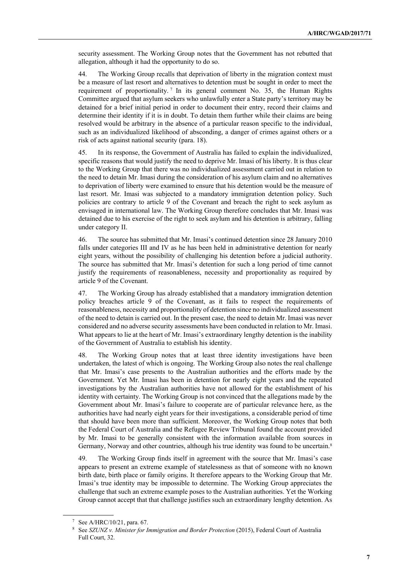security assessment. The Working Group notes that the Government has not rebutted that allegation, although it had the opportunity to do so.

44. The Working Group recalls that deprivation of liberty in the migration context must be a measure of last resort and alternatives to detention must be sought in order to meet the requirement of proportionality. <sup>7</sup> In its general comment No. 35, the Human Rights Committee argued that asylum seekers who unlawfully enter a State party's territory may be detained for a brief initial period in order to document their entry, record their claims and determine their identity if it is in doubt. To detain them further while their claims are being resolved would be arbitrary in the absence of a particular reason specific to the individual, such as an individualized likelihood of absconding, a danger of crimes against others or a risk of acts against national security (para. 18).

45. In its response, the Government of Australia has failed to explain the individualized, specific reasons that would justify the need to deprive Mr. Imasi of his liberty. It is thus clear to the Working Group that there was no individualized assessment carried out in relation to the need to detain Mr. Imasi during the consideration of his asylum claim and no alternatives to deprivation of liberty were examined to ensure that his detention would be the measure of last resort. Mr. Imasi was subjected to a mandatory immigration detention policy. Such policies are contrary to article 9 of the Covenant and breach the right to seek asylum as envisaged in international law. The Working Group therefore concludes that Mr. Imasi was detained due to his exercise of the right to seek asylum and his detention is arbitrary, falling under category II.

46. The source has submitted that Mr. Imasi's continued detention since 28 January 2010 falls under categories III and IV as he has been held in administrative detention for nearly eight years, without the possibility of challenging his detention before a judicial authority. The source has submitted that Mr. Imasi's detention for such a long period of time cannot justify the requirements of reasonableness, necessity and proportionality as required by article 9 of the Covenant.

47. The Working Group has already established that a mandatory immigration detention policy breaches article 9 of the Covenant, as it fails to respect the requirements of reasonableness, necessity and proportionality of detention since no individualized assessment of the need to detain is carried out. In the present case, the need to detain Mr. Imasi was never considered and no adverse security assessments have been conducted in relation to Mr. Imasi. What appears to lie at the heart of Mr. Imasi's extraordinary lengthy detention is the inability of the Government of Australia to establish his identity.

48. The Working Group notes that at least three identity investigations have been undertaken, the latest of which is ongoing. The Working Group also notes the real challenge that Mr. Imasi's case presents to the Australian authorities and the efforts made by the Government. Yet Mr. Imasi has been in detention for nearly eight years and the repeated investigations by the Australian authorities have not allowed for the establishment of his identity with certainty. The Working Group is not convinced that the allegations made by the Government about Mr. Imasi's failure to cooperate are of particular relevance here, as the authorities have had nearly eight years for their investigations, a considerable period of time that should have been more than sufficient. Moreover, the Working Group notes that both the Federal Court of Australia and the Refugee Review Tribunal found the account provided by Mr. Imasi to be generally consistent with the information available from sources in Germany, Norway and other countries, although his true identity was found to be uncertain.<sup>8</sup>

49. The Working Group finds itself in agreement with the source that Mr. Imasi's case appears to present an extreme example of statelessness as that of someone with no known birth date, birth place or family origins. It therefore appears to the Working Group that Mr. Imasi's true identity may be impossible to determine. The Working Group appreciates the challenge that such an extreme example poses to the Australian authorities. Yet the Working Group cannot accept that that challenge justifies such an extraordinary lengthy detention. As

<sup>7</sup> See A/HRC/10/21, para. 67.

<sup>8</sup> See *SZUNZ v. Minister for Immigration and Border Protection* (2015), Federal Court of Australia Full Court, 32.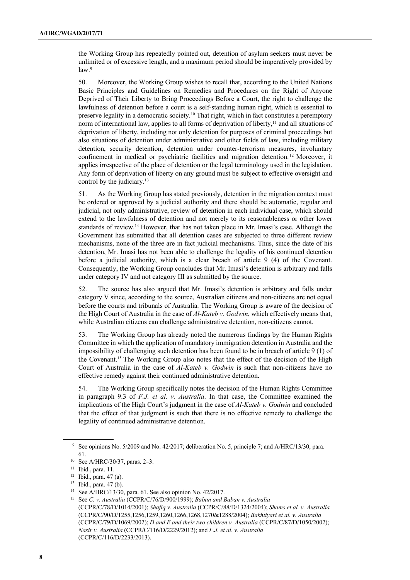the Working Group has repeatedly pointed out, detention of asylum seekers must never be unlimited or of excessive length, and a maximum period should be imperatively provided by  $law<sup>9</sup>$ 

50. Moreover, the Working Group wishes to recall that, according to the United Nations Basic Principles and Guidelines on Remedies and Procedures on the Right of Anyone Deprived of Their Liberty to Bring Proceedings Before a Court, the right to challenge the lawfulness of detention before a court is a self-standing human right, which is essential to preserve legality in a democratic society.10 That right, which in fact constitutes a peremptory norm of international law, applies to all forms of deprivation of liberty,<sup>11</sup> and all situations of deprivation of liberty, including not only detention for purposes of criminal proceedings but also situations of detention under administrative and other fields of law, including military detention, security detention, detention under counter-terrorism measures, involuntary confinement in medical or psychiatric facilities and migration detention. <sup>12</sup> Moreover, it applies irrespective of the place of detention or the legal terminology used in the legislation. Any form of deprivation of liberty on any ground must be subject to effective oversight and control by the judiciary.13

51. As the Working Group has stated previously, detention in the migration context must be ordered or approved by a judicial authority and there should be automatic, regular and judicial, not only administrative, review of detention in each individual case, which should extend to the lawfulness of detention and not merely to its reasonableness or other lower standards of review.14 However, that has not taken place in Mr. Imasi's case. Although the Government has submitted that all detention cases are subjected to three different review mechanisms, none of the three are in fact judicial mechanisms. Thus, since the date of his detention, Mr. Imasi has not been able to challenge the legality of his continued detention before a judicial authority, which is a clear breach of article 9 (4) of the Covenant. Consequently, the Working Group concludes that Mr. Imasi's detention is arbitrary and falls under category IV and not category III as submitted by the source.

52. The source has also argued that Mr. Imasi's detention is arbitrary and falls under category V since, according to the source, Australian citizens and non-citizens are not equal before the courts and tribunals of Australia. The Working Group is aware of the decision of the High Court of Australia in the case of *Al-Kateb v. Godwin*, which effectively means that, while Australian citizens can challenge administrative detention, non-citizens cannot.

53. The Working Group has already noted the numerous findings by the Human Rights Committee in which the application of mandatory immigration detention in Australia and the impossibility of challenging such detention has been found to be in breach of article 9 (1) of the Covenant.15 The Working Group also notes that the effect of the decision of the High Court of Australia in the case of *Al-Kateb v. Godwin* is such that non-citizens have no effective remedy against their continued administrative detention.

54. The Working Group specifically notes the decision of the Human Rights Committee in paragraph 9.3 of *F.J. et al. v. Australia*. In that case, the Committee examined the implications of the High Court's judgment in the case of *Al-Kateb v. Godwin* and concluded that the effect of that judgment is such that there is no effective remedy to challenge the legality of continued administrative detention.

<sup>&</sup>lt;sup>9</sup> See opinions No. 5/2009 and No. 42/2017; deliberation No. 5, principle 7; and A/HRC/13/30, para. 61.

<sup>10</sup> See A/HRC/30/37, paras. 2–3.

<sup>11</sup> Ibid., para. 11.

<sup>12</sup> Ibid., para. 47 (a).

<sup>13</sup> Ibid., para. 47 (b).

<sup>14</sup> See A/HRC/13/30, para. 61. See also opinion No. 42/2017.

<sup>15</sup> See *C. v. Australia* (CCPR/C/76/D/900/1999); *Baban and Baban v. Australia* (CCPR/C/78/D/1014/2001); *Shafiq v. Australia* (CCPR/C/88/D/1324/2004); *Shams et al. v. Australia* (CCPR/C/90/D/1255,1256,1259,1260,1266,1268,1270&1288/2004); *Bakhtiyari et al. v. Australia* (CCPR/C/79/D/1069/2002); *D and E and their two children v. Australia* (CCPR/C/87/D/1050/2002); *Nasir v. Australia* (CCPR/C/116/D/2229/2012); and *F.J. et al. v. Australia* (CCPR/C/116/D/2233/2013).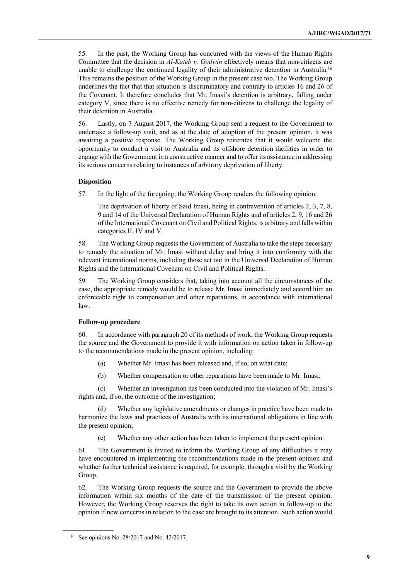55. In the past, the Working Group has concurred with the views of the Human Rights Committee that the decision in *Al-Kateb v. Godwin* effectively means that non-citizens are unable to challenge the continued legality of their administrative detention in Australia.<sup>16</sup> This remains the position of the Working Group in the present case too. The Working Group underlines the fact that that situation is discriminatory and contrary to articles 16 and 26 of the Covenant. It therefore concludes that Mr. Imasi's detention is arbitrary, falling under category V, since there is no effective remedy for non-citizens to challenge the legality of their detention in Australia.

56. Lastly, on 7 August 2017, the Working Group sent a request to the Government to undertake a follow-up visit, and as at the date of adoption of the present opinion, it was awaiting a positive response. The Working Group reiterates that it would welcome the opportunity to conduct a visit to Australia and its offshore detention facilities in order to engage with the Government in a constructive manner and to offer its assistance in addressing its serious concerns relating to instances of arbitrary deprivation of liberty.

#### **Disposition**

57. In the light of the foregoing, the Working Group renders the following opinion:

The deprivation of liberty of Said Imasi, being in contravention of articles 2, 3, 7, 8, 9 and 14 of the Universal Declaration of Human Rights and of articles 2, 9, 16 and 26 of the International Covenant on Civil and Political Rights, is arbitrary and falls within categories II, IV and V.

58. The Working Group requests the Government of Australia to take the steps necessary to remedy the situation of Mr. Imasi without delay and bring it into conformity with the relevant international norms, including those set out in the Universal Declaration of Human Rights and the International Covenant on Civil and Political Rights.

59. The Working Group considers that, taking into account all the circumstances of the case, the appropriate remedy would be to release Mr. Imasi immediately and accord him an enforceable right to compensation and other reparations, in accordance with international law.

#### **Follow-up procedure**

60. In accordance with paragraph 20 of its methods of work, the Working Group requests the source and the Government to provide it with information on action taken in follow-up to the recommendations made in the present opinion, including:

- (a) Whether Mr. Imasi has been released and, if so, on what date;
- (b) Whether compensation or other reparations have been made to Mr. Imasi;

(c) Whether an investigation has been conducted into the violation of Mr. Imasi's rights and, if so, the outcome of the investigation;

(d) Whether any legislative amendments or changes in practice have been made to harmonize the laws and practices of Australia with its international obligations in line with the present opinion;

(e) Whether any other action has been taken to implement the present opinion.

61. The Government is invited to inform the Working Group of any difficulties it may have encountered in implementing the recommendations made in the present opinion and whether further technical assistance is required, for example, through a visit by the Working Group.

62. The Working Group requests the source and the Government to provide the above information within six months of the date of the transmission of the present opinion. However, the Working Group reserves the right to take its own action in follow-up to the opinion if new concerns in relation to the case are brought to its attention. Such action would

<sup>16</sup> See opinions No. 28/2017 and No. 42/2017.